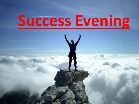# **Success Evening**

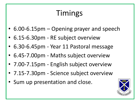# Timings

- 6.00-6.15pm Opening prayer and speech
- 6.15-6.30pm RE subject overview
- 6.30-6.45pm Year 11 Pastoral message
- 6.45-7.00pm Maths subject overview
- 7.00-7.15pm English subject overview
- 7.15-7.30pm Science subject overview
- Sum up presentation and close.

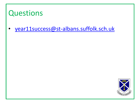#### Questions

• [year11success@st-albans.suffolk.sch.uk](mailto:year11success@st-albans.suffolk.sch.uk)

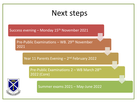#### Next steps

Success evening - Monday 15<sup>th</sup> November 2021

Pre-Public Examinations – WB. 29<sup>th</sup> November 2021

Year 11 Parents Evening - 2<sup>nd</sup> February 2022

Pre-Public Examinations 2 – WB March 28th 2022 (Core)



Summer exams 2021 – May-June 2022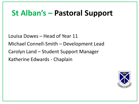#### **St Alban's – Pastoral Support**

Louisa Dowes – Head of Year 11 Michael Connell-Smith – Development Lead Carolyn Land – Student Support Manager Katherine Edwards - Chaplain

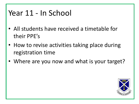#### Year 11 - In School

- All students have received a timetable for their PPE's
- How to revise activities taking place during registration time
- Where are you now and what is your target?

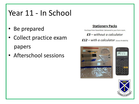## Year 11 - In School

- Be prepared
- Collect practice exam papers
- Afterschool sessions

#### **Stationery Packs**

Purchase from ParentMail. Delivered to your form room.

 $E3$  – without a calculator

 $£12 - with a calculator (casio FX-83GTX)$ 





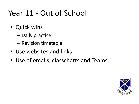## Year 11 - Out of School

- Quick wins
	- Daily practice
	- Revision timetable
- Use websites and links
- Use of emails, classcharts and Teams